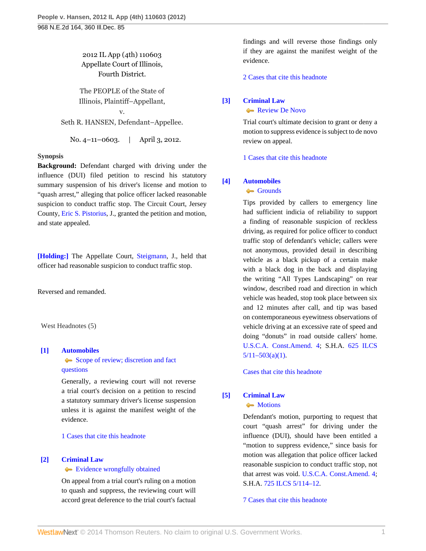2012 IL App (4th) 110603 Appellate Court of Illinois, Fourth District.

The PEOPLE of the State of Illinois, Plaintiff–Appellant,

v. Seth R. HANSEN, Defendant–Appellee.

No. 4–11–0603. | April 3, 2012.

#### **Synopsis**

**Background:** Defendant charged with driving under the influence (DUI) filed petition to rescind his statutory summary suspension of his driver's license and motion to "quash arrest," alleging that police officer lacked reasonable suspicion to conduct traffic stop. The Circuit Court, Jersey County, [Eric S. Pistorius,](http://www.westlaw.com/Link/Document/FullText?findType=h&pubNum=176284&cite=0291804101&originatingDoc=If96ff80b7e2511e1ac60ad556f635d49&refType=RQ&originationContext=document&vr=3.0&rs=cblt1.0&transitionType=DocumentItem&contextData=(sc.Search)) J., granted the petition and motion, and state appealed.

[\[Holding:\]](#page-0-0) The Appellate Court, [Steigmann](http://www.westlaw.com/Link/Document/FullText?findType=h&pubNum=176284&cite=0140524201&originatingDoc=If96ff80b7e2511e1ac60ad556f635d49&refType=RQ&originationContext=document&vr=3.0&rs=cblt1.0&transitionType=DocumentItem&contextData=(sc.Search)), J., held that officer had reasonable suspicion to conduct traffic stop.

Reversed and remanded.

West Headnotes (5)

# <span id="page-0-1"></span>**[\[1\]](#page-2-0) [Automobiles](http://www.westlaw.com/Browse/Home/KeyNumber/48A/View.html?docGuid=If96ff80b7e2511e1ac60ad556f635d49&originationContext=document&vr=3.0&rs=cblt1.0&transitionType=DocumentItem&contextData=(sc.Search))**

[Scope of review; discretion and fact](http://www.westlaw.com/Browse/Home/KeyNumber/48Ak144.2(3)/View.html?docGuid=If96ff80b7e2511e1ac60ad556f635d49&originationContext=document&vr=3.0&rs=cblt1.0&transitionType=DocumentItem&contextData=(sc.Search)) [questions](http://www.westlaw.com/Browse/Home/KeyNumber/48Ak144.2(3)/View.html?docGuid=If96ff80b7e2511e1ac60ad556f635d49&originationContext=document&vr=3.0&rs=cblt1.0&transitionType=DocumentItem&contextData=(sc.Search))

Generally, a reviewing court will not reverse a trial court's decision on a petition to rescind a statutory summary driver's license suspension unless it is against the manifest weight of the evidence.

[1 Cases that cite this headnote](http://www.westlaw.com/Link/RelatedInformation/DocHeadnoteLink?docGuid=If96ff80b7e2511e1ac60ad556f635d49&headnoteId=202743641600120120920212509&originationContext=document&vr=3.0&rs=cblt1.0&transitionType=CitingReferences&contextData=(sc.Search))

# <span id="page-0-2"></span>**[\[2\]](#page-2-1) [Criminal Law](http://www.westlaw.com/Browse/Home/KeyNumber/110/View.html?docGuid=If96ff80b7e2511e1ac60ad556f635d49&originationContext=document&vr=3.0&rs=cblt1.0&transitionType=DocumentItem&contextData=(sc.Search))**

#### [Evidence wrongfully obtained](http://www.westlaw.com/Browse/Home/KeyNumber/110k1158.12/View.html?docGuid=If96ff80b7e2511e1ac60ad556f635d49&originationContext=document&vr=3.0&rs=cblt1.0&transitionType=DocumentItem&contextData=(sc.Search))

On appeal from a trial court's ruling on a motion to quash and suppress, the reviewing court will accord great deference to the trial court's factual

findings and will reverse those findings only if they are against the manifest weight of the evidence.

[2 Cases that cite this headnote](http://www.westlaw.com/Link/RelatedInformation/DocHeadnoteLink?docGuid=If96ff80b7e2511e1ac60ad556f635d49&headnoteId=202743641600220120920212509&originationContext=document&vr=3.0&rs=cblt1.0&transitionType=CitingReferences&contextData=(sc.Search))

## <span id="page-0-3"></span>**[\[3\]](#page-2-2) [Criminal Law](http://www.westlaw.com/Browse/Home/KeyNumber/110/View.html?docGuid=If96ff80b7e2511e1ac60ad556f635d49&originationContext=document&vr=3.0&rs=cblt1.0&transitionType=DocumentItem&contextData=(sc.Search))**

[Review De Novo](http://www.westlaw.com/Browse/Home/KeyNumber/110XXIV(L)13/View.html?docGuid=If96ff80b7e2511e1ac60ad556f635d49&originationContext=document&vr=3.0&rs=cblt1.0&transitionType=DocumentItem&contextData=(sc.Search))

Trial court's ultimate decision to grant or deny a motion to suppress evidence is subject to de novo review on appeal.

[1 Cases that cite this headnote](http://www.westlaw.com/Link/RelatedInformation/DocHeadnoteLink?docGuid=If96ff80b7e2511e1ac60ad556f635d49&headnoteId=202743641600320120920212509&originationContext=document&vr=3.0&rs=cblt1.0&transitionType=CitingReferences&contextData=(sc.Search))

# <span id="page-0-0"></span>**[\[4\]](#page-4-0) [Automobiles](http://www.westlaw.com/Browse/Home/KeyNumber/48A/View.html?docGuid=If96ff80b7e2511e1ac60ad556f635d49&originationContext=document&vr=3.0&rs=cblt1.0&transitionType=DocumentItem&contextData=(sc.Search))**

[Grounds](http://www.westlaw.com/Browse/Home/KeyNumber/48Ak349(2)/View.html?docGuid=If96ff80b7e2511e1ac60ad556f635d49&originationContext=document&vr=3.0&rs=cblt1.0&transitionType=DocumentItem&contextData=(sc.Search))

Tips provided by callers to emergency line had sufficient indicia of reliability to support a finding of reasonable suspicion of reckless driving, as required for police officer to conduct traffic stop of defendant's vehicle; callers were not anonymous, provided detail in describing vehicle as a black pickup of a certain make with a black dog in the back and displaying the writing "All Types Landscaping" on rear window, described road and direction in which vehicle was headed, stop took place between six and 12 minutes after call, and tip was based on contemporaneous eyewitness observations of vehicle driving at an excessive rate of speed and doing "donuts" in road outside callers' home. [U.S.C.A. Const.Amend. 4;](http://www.westlaw.com/Link/Document/FullText?findType=L&pubNum=1000546&cite=USCOAMENDIV&originatingDoc=If96ff80b7e2511e1ac60ad556f635d49&refType=LQ&originationContext=document&vr=3.0&rs=cblt1.0&transitionType=DocumentItem&contextData=(sc.Search)) S.H.A. [625 ILCS](http://www.westlaw.com/Link/Document/FullText?findType=L&pubNum=1000008&cite=IL625S5%2f11-503&originatingDoc=If96ff80b7e2511e1ac60ad556f635d49&refType=SP&originationContext=document&vr=3.0&rs=cblt1.0&transitionType=DocumentItem&contextData=(sc.Search)#co_pp_7b9b000044381)  $5/11-503(a)(1)$ .

[Cases that cite this headnote](http://www.westlaw.com/Link/RelatedInformation/DocHeadnoteLink?docGuid=If96ff80b7e2511e1ac60ad556f635d49&headnoteId=202743641600420120920212509&originationContext=document&vr=3.0&rs=cblt1.0&transitionType=CitingReferences&contextData=(sc.Search))

# <span id="page-0-4"></span>**[\[5\]](#page-7-0) [Criminal Law](http://www.westlaw.com/Browse/Home/KeyNumber/110/View.html?docGuid=If96ff80b7e2511e1ac60ad556f635d49&originationContext=document&vr=3.0&rs=cblt1.0&transitionType=DocumentItem&contextData=(sc.Search))**

**[Motions](http://www.westlaw.com/Browse/Home/KeyNumber/110k392.46/View.html?docGuid=If96ff80b7e2511e1ac60ad556f635d49&originationContext=document&vr=3.0&rs=cblt1.0&transitionType=DocumentItem&contextData=(sc.Search))** 

Defendant's motion, purporting to request that court "quash arrest" for driving under the influence (DUI), should have been entitled a "motion to suppress evidence," since basis for motion was allegation that police officer lacked reasonable suspicion to conduct traffic stop, not that arrest was void. [U.S.C.A. Const.Amend. 4;](http://www.westlaw.com/Link/Document/FullText?findType=L&pubNum=1000546&cite=USCOAMENDIV&originatingDoc=If96ff80b7e2511e1ac60ad556f635d49&refType=LQ&originationContext=document&vr=3.0&rs=cblt1.0&transitionType=DocumentItem&contextData=(sc.Search)) S.H.A. [725 ILCS 5/114–12.](http://www.westlaw.com/Link/Document/FullText?findType=L&pubNum=1000008&cite=ILSTC725S5%2f114-12&originatingDoc=If96ff80b7e2511e1ac60ad556f635d49&refType=LQ&originationContext=document&vr=3.0&rs=cblt1.0&transitionType=DocumentItem&contextData=(sc.Search))

[7 Cases that cite this headnote](http://www.westlaw.com/Link/RelatedInformation/DocHeadnoteLink?docGuid=If96ff80b7e2511e1ac60ad556f635d49&headnoteId=202743641600520120920212509&originationContext=document&vr=3.0&rs=cblt1.0&transitionType=CitingReferences&contextData=(sc.Search))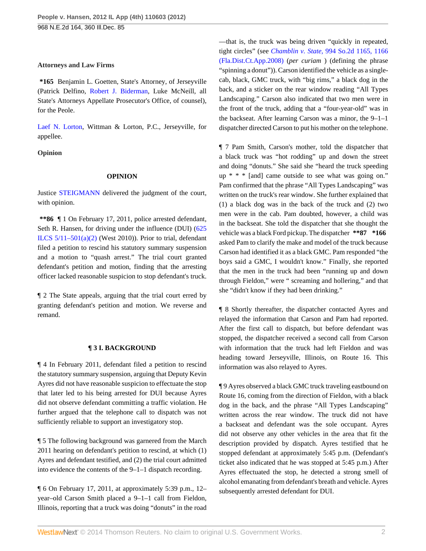# **Attorneys and Law Firms**

**\*165** Benjamin L. Goetten, State's Attorney, of Jerseyville (Patrick Delfino, [Robert J. Biderman,](http://www.westlaw.com/Link/Document/FullText?findType=h&pubNum=176284&cite=0223122701&originatingDoc=If96ff80b7e2511e1ac60ad556f635d49&refType=RQ&originationContext=document&vr=3.0&rs=cblt1.0&transitionType=DocumentItem&contextData=(sc.Search)) Luke McNeill, all State's Attorneys Appellate Prosecutor's Office, of counsel), for the Peole.

[Laef N. Lorton](http://www.westlaw.com/Link/Document/FullText?findType=h&pubNum=176284&cite=0394121901&originatingDoc=If96ff80b7e2511e1ac60ad556f635d49&refType=RQ&originationContext=document&vr=3.0&rs=cblt1.0&transitionType=DocumentItem&contextData=(sc.Search)), Wittman & Lorton, P.C., Jerseyville, for appellee.

# **Opinion**

#### **OPINION**

Justice [STEIGMANN](http://www.westlaw.com/Link/Document/FullText?findType=h&pubNum=176284&cite=0140524201&originatingDoc=If96ff80b7e2511e1ac60ad556f635d49&refType=RQ&originationContext=document&vr=3.0&rs=cblt1.0&transitionType=DocumentItem&contextData=(sc.Search)) delivered the judgment of the court, with opinion.

**\*\*86** ¶ 1 On February 17, 2011, police arrested defendant, Seth R. Hansen, for driving under the influence (DUI) ([625](http://www.westlaw.com/Link/Document/FullText?findType=L&pubNum=1000008&cite=IL625S5%2f11-501&originatingDoc=If96ff80b7e2511e1ac60ad556f635d49&refType=SP&originationContext=document&vr=3.0&rs=cblt1.0&transitionType=DocumentItem&contextData=(sc.Search)#co_pp_d86d0000be040)) ILCS  $5/11-501(a)(2)$  (West 2010)). Prior to trial, defendant filed a petition to rescind his statutory summary suspension and a motion to "quash arrest." The trial court granted defendant's petition and motion, finding that the arresting officer lacked reasonable suspicion to stop defendant's truck.

¶ 2 The State appeals, arguing that the trial court erred by granting defendant's petition and motion. We reverse and remand.

#### **¶ 3 I. BACKGROUND**

¶ 4 In February 2011, defendant filed a petition to rescind the statutory summary suspension, arguing that Deputy Kevin Ayres did not have reasonable suspicion to effectuate the stop that later led to his being arrested for DUI because Ayres did not observe defendant committing a traffic violation. He further argued that the telephone call to dispatch was not sufficiently reliable to support an investigatory stop.

¶ 5 The following background was garnered from the March 2011 hearing on defendant's petition to rescind, at which (1) Ayres and defendant testified, and (2) the trial court admitted into evidence the contents of the 9–1–1 dispatch recording.

¶ 6 On February 17, 2011, at approximately 5:39 p.m., 12– year–old Carson Smith placed a 9–1–1 call from Fieldon, Illinois, reporting that a truck was doing "donuts" in the road —that is, the truck was being driven "quickly in repeated, tight circles" (see *Chamblin v. State,* [994 So.2d 1165, 1166](http://www.westlaw.com/Link/Document/FullText?findType=Y&serNum=2017211598&pubNum=735&fi=co_pp_sp_735_1166&originationContext=document&vr=3.0&rs=cblt1.0&transitionType=DocumentItem&contextData=(sc.Search)#co_pp_sp_735_1166) [\(Fla.Dist.Ct.App.2008\)](http://www.westlaw.com/Link/Document/FullText?findType=Y&serNum=2017211598&pubNum=735&fi=co_pp_sp_735_1166&originationContext=document&vr=3.0&rs=cblt1.0&transitionType=DocumentItem&contextData=(sc.Search)#co_pp_sp_735_1166) (*per curiam* ) (defining the phrase "spinning a donut")). Carson identified the vehicle as a singlecab, black, GMC truck, with "big rims," a black dog in the back, and a sticker on the rear window reading "All Types Landscaping." Carson also indicated that two men were in the front of the truck, adding that a "four-year-old" was in the backseat. After learning Carson was a minor, the 9–1–1 dispatcher directed Carson to put his mother on the telephone.

¶ 7 Pam Smith, Carson's mother, told the dispatcher that a black truck was "hot rodding" up and down the street and doing "donuts." She said she "heard the truck speeding up \* \* \* [and] came outside to see what was going on." Pam confirmed that the phrase "All Types Landscaping" was written on the truck's rear window. She further explained that (1) a black dog was in the back of the truck and (2) two men were in the cab. Pam doubted, however, a child was in the backseat. She told the dispatcher that she thought the vehicle was a black Ford pickup. The dispatcher **\*\*87 \*166** asked Pam to clarify the make and model of the truck because Carson had identified it as a black GMC. Pam responded "the boys said a GMC, I wouldn't know." Finally, she reported that the men in the truck had been "running up and down through Fieldon," were " screaming and hollering," and that she "didn't know if they had been drinking."

¶ 8 Shortly thereafter, the dispatcher contacted Ayres and relayed the information that Carson and Pam had reported. After the first call to dispatch, but before defendant was stopped, the dispatcher received a second call from Carson with information that the truck had left Fieldon and was heading toward Jerseyville, Illinois, on Route 16. This information was also relayed to Ayres.

¶ 9 Ayres observed a black GMC truck traveling eastbound on Route 16, coming from the direction of Fieldon, with a black dog in the back, and the phrase "All Types Landscaping" written across the rear window. The truck did not have a backseat and defendant was the sole occupant. Ayres did not observe any other vehicles in the area that fit the description provided by dispatch. Ayres testified that he stopped defendant at approximately 5:45 p.m. (Defendant's ticket also indicated that he was stopped at 5:45 p.m.) After Ayres effectuated the stop, he detected a strong smell of alcohol emanating from defendant's breath and vehicle. Ayres subsequently arrested defendant for DUI.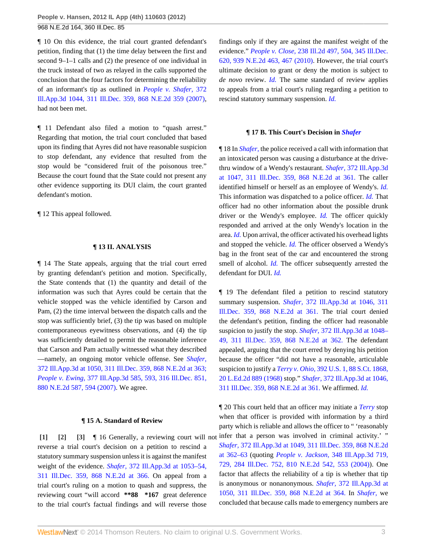¶ 10 On this evidence, the trial court granted defendant's petition, finding that (1) the time delay between the first and second 9–1–1 calls and (2) the presence of one individual in the truck instead of two as relayed in the calls supported the conclusion that the four factors for determining the reliability of an informant's tip as outlined in *[People v. Shafer,](http://www.westlaw.com/Link/Document/FullText?findType=Y&serNum=2012089048&pubNum=578&originationContext=document&vr=3.0&rs=cblt1.0&transitionType=DocumentItem&contextData=(sc.Search))* 372 [Ill.App.3d 1044, 311 Ill.Dec. 359, 868 N.E.2d 359 \(2007\)](http://www.westlaw.com/Link/Document/FullText?findType=Y&serNum=2012089048&pubNum=578&originationContext=document&vr=3.0&rs=cblt1.0&transitionType=DocumentItem&contextData=(sc.Search)), had not been met.

¶ 11 Defendant also filed a motion to "quash arrest." Regarding that motion, the trial court concluded that based upon its finding that Ayres did not have reasonable suspicion to stop defendant, any evidence that resulted from the stop would be "considered fruit of the poisonous tree." Because the court found that the State could not present any other evidence supporting its DUI claim, the court granted defendant's motion.

¶ 12 This appeal followed.

#### **¶ 13 II. ANALYSIS**

¶ 14 The State appeals, arguing that the trial court erred by granting defendant's petition and motion. Specifically, the State contends that (1) the quantity and detail of the information was such that Ayres could be certain that the vehicle stopped was the vehicle identified by Carson and Pam, (2) the time interval between the dispatch calls and the stop was sufficiently brief, (3) the tip was based on multiple contemporaneous eyewitness observations, and (4) the tip was sufficiently detailed to permit the reasonable inference that Carson and Pam actually witnessed what they described —namely, an ongoing motor vehicle offense. See *[Shafer,](http://www.westlaw.com/Link/Document/FullText?findType=Y&serNum=2012089048&pubNum=578&fi=co_pp_sp_578_363&originationContext=document&vr=3.0&rs=cblt1.0&transitionType=DocumentItem&contextData=(sc.Search)#co_pp_sp_578_363)* [372 Ill.App.3d at 1050, 311 Ill.Dec. 359, 868 N.E.2d at 363;](http://www.westlaw.com/Link/Document/FullText?findType=Y&serNum=2012089048&pubNum=578&fi=co_pp_sp_578_363&originationContext=document&vr=3.0&rs=cblt1.0&transitionType=DocumentItem&contextData=(sc.Search)#co_pp_sp_578_363) *People v. Ewing,* [377 Ill.App.3d 585, 593, 316 Ill.Dec. 851,](http://www.westlaw.com/Link/Document/FullText?findType=Y&serNum=2014315373&pubNum=578&fi=co_pp_sp_578_594&originationContext=document&vr=3.0&rs=cblt1.0&transitionType=DocumentItem&contextData=(sc.Search)#co_pp_sp_578_594) [880 N.E.2d 587, 594 \(2007\)](http://www.westlaw.com/Link/Document/FullText?findType=Y&serNum=2014315373&pubNum=578&fi=co_pp_sp_578_594&originationContext=document&vr=3.0&rs=cblt1.0&transitionType=DocumentItem&contextData=(sc.Search)#co_pp_sp_578_594). We agree.

#### <span id="page-2-2"></span><span id="page-2-1"></span>**¶ 15 A. Standard of Review**

<span id="page-2-0"></span>**[\[1\]](#page-0-1) [\[2](#page-0-2)] [\[3\]](#page-0-3)** ¶ 16 Generally, a reviewing court will not reverse a trial court's decision on a petition to rescind a statutory summary suspension unless it is against the manifest weight of the evidence. *Shafer,* [372 Ill.App.3d at 1053–54,](http://www.westlaw.com/Link/Document/FullText?findType=Y&serNum=2012089048&pubNum=578&fi=co_pp_sp_578_366&originationContext=document&vr=3.0&rs=cblt1.0&transitionType=DocumentItem&contextData=(sc.Search)#co_pp_sp_578_366) [311 Ill.Dec. 359, 868 N.E.2d at 366.](http://www.westlaw.com/Link/Document/FullText?findType=Y&serNum=2012089048&pubNum=578&fi=co_pp_sp_578_366&originationContext=document&vr=3.0&rs=cblt1.0&transitionType=DocumentItem&contextData=(sc.Search)#co_pp_sp_578_366) On appeal from a trial court's ruling on a motion to quash and suppress, the reviewing court "will accord **\*\*88 \*167** great deference to the trial court's factual findings and will reverse those

findings only if they are against the manifest weight of the evidence." *People v. Close,* [238 Ill.2d 497, 504, 345 Ill.Dec.](http://www.westlaw.com/Link/Document/FullText?findType=Y&serNum=2023434656&pubNum=578&fi=co_pp_sp_578_467&originationContext=document&vr=3.0&rs=cblt1.0&transitionType=DocumentItem&contextData=(sc.Search)#co_pp_sp_578_467) [620, 939 N.E.2d 463, 467 \(2010\).](http://www.westlaw.com/Link/Document/FullText?findType=Y&serNum=2023434656&pubNum=578&fi=co_pp_sp_578_467&originationContext=document&vr=3.0&rs=cblt1.0&transitionType=DocumentItem&contextData=(sc.Search)#co_pp_sp_578_467) However, the trial court's ultimate decision to grant or deny the motion is subject to *de novo* review. *[Id.](http://www.westlaw.com/Link/Document/FullText?findType=Y&serNum=2023434656&originationContext=document&vr=3.0&rs=cblt1.0&transitionType=DocumentItem&contextData=(sc.Search))* The same standard of review applies to appeals from a trial court's ruling regarding a petition to rescind statutory summary suspension. *[Id.](http://www.westlaw.com/Link/Document/FullText?findType=Y&serNum=2023434656&originationContext=document&vr=3.0&rs=cblt1.0&transitionType=DocumentItem&contextData=(sc.Search))*

#### **¶ 17 B. This Court's Decision in** *[Shafer](http://www.westlaw.com/Link/Document/FullText?findType=Y&serNum=2012089048&originationContext=document&vr=3.0&rs=cblt1.0&transitionType=DocumentItem&contextData=(sc.Search))*

¶ 18 In *[Shafer,](http://www.westlaw.com/Link/Document/FullText?findType=Y&serNum=2012089048&originationContext=document&vr=3.0&rs=cblt1.0&transitionType=DocumentItem&contextData=(sc.Search))* the police received a call with information that an intoxicated person was causing a disturbance at the drivethru window of a Wendy's restaurant. *Shafer,* [372 Ill.App.3d](http://www.westlaw.com/Link/Document/FullText?findType=Y&serNum=2012089048&pubNum=578&fi=co_pp_sp_578_361&originationContext=document&vr=3.0&rs=cblt1.0&transitionType=DocumentItem&contextData=(sc.Search)#co_pp_sp_578_361) [at 1047, 311 Ill.Dec. 359, 868 N.E.2d at 361.](http://www.westlaw.com/Link/Document/FullText?findType=Y&serNum=2012089048&pubNum=578&fi=co_pp_sp_578_361&originationContext=document&vr=3.0&rs=cblt1.0&transitionType=DocumentItem&contextData=(sc.Search)#co_pp_sp_578_361) The caller identified himself or herself as an employee of Wendy's. *[Id.](http://www.westlaw.com/Link/Document/FullText?findType=Y&serNum=2012089048&originationContext=document&vr=3.0&rs=cblt1.0&transitionType=DocumentItem&contextData=(sc.Search))* This information was dispatched to a police officer. *[Id.](http://www.westlaw.com/Link/Document/FullText?findType=Y&serNum=2012089048&originationContext=document&vr=3.0&rs=cblt1.0&transitionType=DocumentItem&contextData=(sc.Search))* That officer had no other information about the possible drunk driver or the Wendy's employee. *[Id.](http://www.westlaw.com/Link/Document/FullText?findType=Y&serNum=2012089048&originationContext=document&vr=3.0&rs=cblt1.0&transitionType=DocumentItem&contextData=(sc.Search))* The officer quickly responded and arrived at the only Wendy's location in the area. *[Id.](http://www.westlaw.com/Link/Document/FullText?findType=Y&serNum=2012089048&originationContext=document&vr=3.0&rs=cblt1.0&transitionType=DocumentItem&contextData=(sc.Search))* Upon arrival, the officer activated his overhead lights and stopped the vehicle. *[Id.](http://www.westlaw.com/Link/Document/FullText?findType=Y&serNum=2012089048&originationContext=document&vr=3.0&rs=cblt1.0&transitionType=DocumentItem&contextData=(sc.Search))* The officer observed a Wendy's bag in the front seat of the car and encountered the strong smell of alcohol. *[Id.](http://www.westlaw.com/Link/Document/FullText?findType=Y&serNum=2012089048&originationContext=document&vr=3.0&rs=cblt1.0&transitionType=DocumentItem&contextData=(sc.Search))* The officer subsequently arrested the defendant for DUI. *[Id.](http://www.westlaw.com/Link/Document/FullText?findType=Y&serNum=2012089048&originationContext=document&vr=3.0&rs=cblt1.0&transitionType=DocumentItem&contextData=(sc.Search))*

¶ 19 The defendant filed a petition to rescind statutory summary suspension. *Shafer,* [372 Ill.App.3d at 1046, 311](http://www.westlaw.com/Link/Document/FullText?findType=Y&serNum=2012089048&pubNum=578&fi=co_pp_sp_578_361&originationContext=document&vr=3.0&rs=cblt1.0&transitionType=DocumentItem&contextData=(sc.Search)#co_pp_sp_578_361) [Ill.Dec. 359, 868 N.E.2d at 361.](http://www.westlaw.com/Link/Document/FullText?findType=Y&serNum=2012089048&pubNum=578&fi=co_pp_sp_578_361&originationContext=document&vr=3.0&rs=cblt1.0&transitionType=DocumentItem&contextData=(sc.Search)#co_pp_sp_578_361) The trial court denied the defendant's petition, finding the officer had reasonable suspicion to justify the stop. *Shafer,* [372 Ill.App.3d at 1048–](http://www.westlaw.com/Link/Document/FullText?findType=Y&serNum=2012089048&pubNum=578&fi=co_pp_sp_578_362&originationContext=document&vr=3.0&rs=cblt1.0&transitionType=DocumentItem&contextData=(sc.Search)#co_pp_sp_578_362) [49, 311 Ill.Dec. 359, 868 N.E.2d at 362.](http://www.westlaw.com/Link/Document/FullText?findType=Y&serNum=2012089048&pubNum=578&fi=co_pp_sp_578_362&originationContext=document&vr=3.0&rs=cblt1.0&transitionType=DocumentItem&contextData=(sc.Search)#co_pp_sp_578_362) The defendant appealed, arguing that the court erred by denying his petition because the officer "did not have a reasonable, articulable suspicion to justify a *Terry v. Ohio,* [392 U.S. 1, 88 S.Ct. 1868,](http://www.westlaw.com/Link/Document/FullText?findType=Y&serNum=1968131212&pubNum=708&originationContext=document&vr=3.0&rs=cblt1.0&transitionType=DocumentItem&contextData=(sc.Search)) [20 L.Ed.2d 889 \(1968\)](http://www.westlaw.com/Link/Document/FullText?findType=Y&serNum=1968131212&pubNum=708&originationContext=document&vr=3.0&rs=cblt1.0&transitionType=DocumentItem&contextData=(sc.Search)) stop." *Shafer,* [372 Ill.App.3d at 1046,](http://www.westlaw.com/Link/Document/FullText?findType=Y&serNum=2012089048&pubNum=578&fi=co_pp_sp_578_361&originationContext=document&vr=3.0&rs=cblt1.0&transitionType=DocumentItem&contextData=(sc.Search)#co_pp_sp_578_361) [311 Ill.Dec. 359, 868 N.E.2d at 361.](http://www.westlaw.com/Link/Document/FullText?findType=Y&serNum=2012089048&pubNum=578&fi=co_pp_sp_578_361&originationContext=document&vr=3.0&rs=cblt1.0&transitionType=DocumentItem&contextData=(sc.Search)#co_pp_sp_578_361) We affirmed. *[Id.](http://www.westlaw.com/Link/Document/FullText?findType=Y&serNum=2012089048&originationContext=document&vr=3.0&rs=cblt1.0&transitionType=DocumentItem&contextData=(sc.Search))*

¶ 20 This court held that an officer may initiate a *[Terry](http://www.westlaw.com/Link/Document/FullText?findType=Y&serNum=1968131212&originationContext=document&vr=3.0&rs=cblt1.0&transitionType=DocumentItem&contextData=(sc.Search))* stop when that officer is provided with information by a third party which is reliable and allows the officer to " 'reasonably infer that a person was involved in criminal activity.' " *Shafer,* [372 Ill.App.3d at 1049, 311 Ill.Dec. 359, 868 N.E.2d](http://www.westlaw.com/Link/Document/FullText?findType=Y&serNum=2012089048&pubNum=578&fi=co_pp_sp_578_362&originationContext=document&vr=3.0&rs=cblt1.0&transitionType=DocumentItem&contextData=(sc.Search)#co_pp_sp_578_362) [at 362–63](http://www.westlaw.com/Link/Document/FullText?findType=Y&serNum=2012089048&pubNum=578&fi=co_pp_sp_578_362&originationContext=document&vr=3.0&rs=cblt1.0&transitionType=DocumentItem&contextData=(sc.Search)#co_pp_sp_578_362) (quoting *People v. Jackson,* [348 Ill.App.3d 719,](http://www.westlaw.com/Link/Document/FullText?findType=Y&serNum=2004480429&pubNum=578&fi=co_pp_sp_578_553&originationContext=document&vr=3.0&rs=cblt1.0&transitionType=DocumentItem&contextData=(sc.Search)#co_pp_sp_578_553) [729, 284 Ill.Dec. 752, 810 N.E.2d 542, 553 \(2004\)](http://www.westlaw.com/Link/Document/FullText?findType=Y&serNum=2004480429&pubNum=578&fi=co_pp_sp_578_553&originationContext=document&vr=3.0&rs=cblt1.0&transitionType=DocumentItem&contextData=(sc.Search)#co_pp_sp_578_553)). One factor that affects the reliability of a tip is whether that tip is anonymous or nonanonymous. *Shafer,* [372 Ill.App.3d at](http://www.westlaw.com/Link/Document/FullText?findType=Y&serNum=2012089048&pubNum=578&fi=co_pp_sp_578_364&originationContext=document&vr=3.0&rs=cblt1.0&transitionType=DocumentItem&contextData=(sc.Search)#co_pp_sp_578_364) [1050, 311 Ill.Dec. 359, 868 N.E.2d at 364.](http://www.westlaw.com/Link/Document/FullText?findType=Y&serNum=2012089048&pubNum=578&fi=co_pp_sp_578_364&originationContext=document&vr=3.0&rs=cblt1.0&transitionType=DocumentItem&contextData=(sc.Search)#co_pp_sp_578_364) In *[Shafer,](http://www.westlaw.com/Link/Document/FullText?findType=Y&serNum=2012089048&originationContext=document&vr=3.0&rs=cblt1.0&transitionType=DocumentItem&contextData=(sc.Search))* we concluded that because calls made to emergency numbers are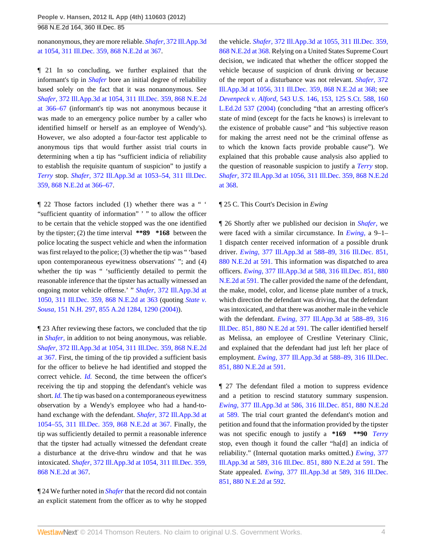968 N.E.2d 164, 360 Ill.Dec. 85

nonanonymous, they are more reliable. *Shafer,* [372 Ill.App.3d](http://www.westlaw.com/Link/Document/FullText?findType=Y&serNum=2012089048&pubNum=578&fi=co_pp_sp_578_367&originationContext=document&vr=3.0&rs=cblt1.0&transitionType=DocumentItem&contextData=(sc.Search)#co_pp_sp_578_367) [at 1054, 311 Ill.Dec. 359, 868 N.E.2d at 367.](http://www.westlaw.com/Link/Document/FullText?findType=Y&serNum=2012089048&pubNum=578&fi=co_pp_sp_578_367&originationContext=document&vr=3.0&rs=cblt1.0&transitionType=DocumentItem&contextData=(sc.Search)#co_pp_sp_578_367)

¶ 21 In so concluding, we further explained that the informant's tip in *[Shafer](http://www.westlaw.com/Link/Document/FullText?findType=Y&serNum=2012089048&originationContext=document&vr=3.0&rs=cblt1.0&transitionType=DocumentItem&contextData=(sc.Search))* bore an initial degree of reliability based solely on the fact that it was nonanonymous. See *Shafer,* [372 Ill.App.3d at 1054, 311 Ill.Dec. 359, 868 N.E.2d](http://www.westlaw.com/Link/Document/FullText?findType=Y&serNum=2012089048&pubNum=578&fi=co_pp_sp_578_366&originationContext=document&vr=3.0&rs=cblt1.0&transitionType=DocumentItem&contextData=(sc.Search)#co_pp_sp_578_366) [at 366–67](http://www.westlaw.com/Link/Document/FullText?findType=Y&serNum=2012089048&pubNum=578&fi=co_pp_sp_578_366&originationContext=document&vr=3.0&rs=cblt1.0&transitionType=DocumentItem&contextData=(sc.Search)#co_pp_sp_578_366) (informant's tip was not anonymous because it was made to an emergency police number by a caller who identified himself or herself as an employee of Wendy's). However, we also adopted a four-factor test applicable to anonymous tips that would further assist trial courts in determining when a tip has "sufficient indicia of reliability to establish the requisite quantum of suspicion" to justify a *[Terry](http://www.westlaw.com/Link/Document/FullText?findType=Y&serNum=1968131212&originationContext=document&vr=3.0&rs=cblt1.0&transitionType=DocumentItem&contextData=(sc.Search))* stop. *Shafer,* [372 Ill.App.3d at 1053–54, 311 Ill.Dec.](http://www.westlaw.com/Link/Document/FullText?findType=Y&serNum=2012089048&pubNum=578&fi=co_pp_sp_578_366&originationContext=document&vr=3.0&rs=cblt1.0&transitionType=DocumentItem&contextData=(sc.Search)#co_pp_sp_578_366) [359, 868 N.E.2d at 366–67](http://www.westlaw.com/Link/Document/FullText?findType=Y&serNum=2012089048&pubNum=578&fi=co_pp_sp_578_366&originationContext=document&vr=3.0&rs=cblt1.0&transitionType=DocumentItem&contextData=(sc.Search)#co_pp_sp_578_366).

¶ 22 Those factors included (1) whether there was a " ' "sufficient quantity of information" ' " to allow the officer to be certain that the vehicle stopped was the one identified by the tipster; (2) the time interval **\*\*89 \*168** between the police locating the suspect vehicle and when the information was first relayed to the police; (3) whether the tip was " 'based upon contemporaneous eyewitness observations' "; and (4) whether the tip was " 'sufficiently detailed to permit the reasonable inference that the tipster has actually witnessed an ongoing motor vehicle offense.' " *Shafer,* [372 Ill.App.3d at](http://www.westlaw.com/Link/Document/FullText?findType=Y&serNum=2012089048&pubNum=578&fi=co_pp_sp_578_363&originationContext=document&vr=3.0&rs=cblt1.0&transitionType=DocumentItem&contextData=(sc.Search)#co_pp_sp_578_363) [1050, 311 Ill.Dec. 359, 868 N.E.2d at 363](http://www.westlaw.com/Link/Document/FullText?findType=Y&serNum=2012089048&pubNum=578&fi=co_pp_sp_578_363&originationContext=document&vr=3.0&rs=cblt1.0&transitionType=DocumentItem&contextData=(sc.Search)#co_pp_sp_578_363) (quoting *[State v.](http://www.westlaw.com/Link/Document/FullText?findType=Y&serNum=2004946157&pubNum=162&fi=co_pp_sp_162_1290&originationContext=document&vr=3.0&rs=cblt1.0&transitionType=DocumentItem&contextData=(sc.Search)#co_pp_sp_162_1290) Sousa,* [151 N.H. 297, 855 A.2d 1284, 1290 \(2004\)](http://www.westlaw.com/Link/Document/FullText?findType=Y&serNum=2004946157&pubNum=162&fi=co_pp_sp_162_1290&originationContext=document&vr=3.0&rs=cblt1.0&transitionType=DocumentItem&contextData=(sc.Search)#co_pp_sp_162_1290)).

¶ 23 After reviewing these factors, we concluded that the tip in *[Shafer,](http://www.westlaw.com/Link/Document/FullText?findType=Y&serNum=2012089048&originationContext=document&vr=3.0&rs=cblt1.0&transitionType=DocumentItem&contextData=(sc.Search))* in addition to not being anonymous, was reliable. *Shafer,* [372 Ill.App.3d at 1054, 311 Ill.Dec. 359, 868 N.E.2d](http://www.westlaw.com/Link/Document/FullText?findType=Y&serNum=2012089048&pubNum=578&fi=co_pp_sp_578_367&originationContext=document&vr=3.0&rs=cblt1.0&transitionType=DocumentItem&contextData=(sc.Search)#co_pp_sp_578_367) [at 367.](http://www.westlaw.com/Link/Document/FullText?findType=Y&serNum=2012089048&pubNum=578&fi=co_pp_sp_578_367&originationContext=document&vr=3.0&rs=cblt1.0&transitionType=DocumentItem&contextData=(sc.Search)#co_pp_sp_578_367) First, the timing of the tip provided a sufficient basis for the officer to believe he had identified and stopped the correct vehicle. *[Id.](http://www.westlaw.com/Link/Document/FullText?findType=Y&serNum=2012089048&originationContext=document&vr=3.0&rs=cblt1.0&transitionType=DocumentItem&contextData=(sc.Search))* Second, the time between the officer's receiving the tip and stopping the defendant's vehicle was short. *[Id.](http://www.westlaw.com/Link/Document/FullText?findType=Y&serNum=2012089048&originationContext=document&vr=3.0&rs=cblt1.0&transitionType=DocumentItem&contextData=(sc.Search))* The tip was based on a contemporaneous eyewitness observation by a Wendy's employee who had a hand-tohand exchange with the defendant. *Shafer,* [372 Ill.App.3d at](http://www.westlaw.com/Link/Document/FullText?findType=Y&serNum=2012089048&pubNum=578&fi=co_pp_sp_578_367&originationContext=document&vr=3.0&rs=cblt1.0&transitionType=DocumentItem&contextData=(sc.Search)#co_pp_sp_578_367) [1054–55, 311 Ill.Dec. 359, 868 N.E.2d at 367.](http://www.westlaw.com/Link/Document/FullText?findType=Y&serNum=2012089048&pubNum=578&fi=co_pp_sp_578_367&originationContext=document&vr=3.0&rs=cblt1.0&transitionType=DocumentItem&contextData=(sc.Search)#co_pp_sp_578_367) Finally, the tip was sufficiently detailed to permit a reasonable inference that the tipster had actually witnessed the defendant create a disturbance at the drive-thru window and that he was intoxicated. *Shafer,* [372 Ill.App.3d at 1054, 311 Ill.Dec. 359,](http://www.westlaw.com/Link/Document/FullText?findType=Y&serNum=2012089048&pubNum=578&fi=co_pp_sp_578_367&originationContext=document&vr=3.0&rs=cblt1.0&transitionType=DocumentItem&contextData=(sc.Search)#co_pp_sp_578_367) [868 N.E.2d at 367](http://www.westlaw.com/Link/Document/FullText?findType=Y&serNum=2012089048&pubNum=578&fi=co_pp_sp_578_367&originationContext=document&vr=3.0&rs=cblt1.0&transitionType=DocumentItem&contextData=(sc.Search)#co_pp_sp_578_367).

¶ 24 We further noted in *[Shafer](http://www.westlaw.com/Link/Document/FullText?findType=Y&serNum=2012089048&originationContext=document&vr=3.0&rs=cblt1.0&transitionType=DocumentItem&contextData=(sc.Search))* that the record did not contain an explicit statement from the officer as to why he stopped the vehicle. *Shafer,* [372 Ill.App.3d at 1055, 311 Ill.Dec. 359,](http://www.westlaw.com/Link/Document/FullText?findType=Y&serNum=2012089048&pubNum=578&fi=co_pp_sp_578_368&originationContext=document&vr=3.0&rs=cblt1.0&transitionType=DocumentItem&contextData=(sc.Search)#co_pp_sp_578_368) [868 N.E.2d at 368.](http://www.westlaw.com/Link/Document/FullText?findType=Y&serNum=2012089048&pubNum=578&fi=co_pp_sp_578_368&originationContext=document&vr=3.0&rs=cblt1.0&transitionType=DocumentItem&contextData=(sc.Search)#co_pp_sp_578_368) Relying on a United States Supreme Court decision, we indicated that whether the officer stopped the vehicle because of suspicion of drunk driving or because of the report of a disturbance was not relevant. *[Shafer,](http://www.westlaw.com/Link/Document/FullText?findType=Y&serNum=2012089048&pubNum=578&fi=co_pp_sp_578_368&originationContext=document&vr=3.0&rs=cblt1.0&transitionType=DocumentItem&contextData=(sc.Search)#co_pp_sp_578_368)* 372 [Ill.App.3d at 1056, 311 Ill.Dec. 359, 868 N.E.2d at 368;](http://www.westlaw.com/Link/Document/FullText?findType=Y&serNum=2012089048&pubNum=578&fi=co_pp_sp_578_368&originationContext=document&vr=3.0&rs=cblt1.0&transitionType=DocumentItem&contextData=(sc.Search)#co_pp_sp_578_368) see *Devenpeck v. Alford,* [543 U.S. 146, 153, 125 S.Ct. 588, 160](http://www.westlaw.com/Link/Document/FullText?findType=Y&serNum=2005746194&pubNum=708&originationContext=document&vr=3.0&rs=cblt1.0&transitionType=DocumentItem&contextData=(sc.Search)) [L.Ed.2d 537 \(2004\)](http://www.westlaw.com/Link/Document/FullText?findType=Y&serNum=2005746194&pubNum=708&originationContext=document&vr=3.0&rs=cblt1.0&transitionType=DocumentItem&contextData=(sc.Search)) (concluding "that an arresting officer's state of mind (except for the facts he knows) is irrelevant to the existence of probable cause" and "his subjective reason for making the arrest need not be the criminal offense as to which the known facts provide probable cause"). We explained that this probable cause analysis also applied to the question of reasonable suspicion to justify a *[Terry](http://www.westlaw.com/Link/Document/FullText?findType=Y&serNum=1968131212&originationContext=document&vr=3.0&rs=cblt1.0&transitionType=DocumentItem&contextData=(sc.Search))* stop. *Shafer,* [372 Ill.App.3d at 1056, 311 Ill.Dec. 359, 868 N.E.2d](http://www.westlaw.com/Link/Document/FullText?findType=Y&serNum=2012089048&pubNum=578&fi=co_pp_sp_578_368&originationContext=document&vr=3.0&rs=cblt1.0&transitionType=DocumentItem&contextData=(sc.Search)#co_pp_sp_578_368) [at 368.](http://www.westlaw.com/Link/Document/FullText?findType=Y&serNum=2012089048&pubNum=578&fi=co_pp_sp_578_368&originationContext=document&vr=3.0&rs=cblt1.0&transitionType=DocumentItem&contextData=(sc.Search)#co_pp_sp_578_368)

# ¶ 25 C. This Court's Decision in *Ewing*

¶ 26 Shortly after we published our decision in *[Shafer,](http://www.westlaw.com/Link/Document/FullText?findType=Y&serNum=2012089048&originationContext=document&vr=3.0&rs=cblt1.0&transitionType=DocumentItem&contextData=(sc.Search))* we were faced with a similar circumstance. In *[Ewing,](http://www.westlaw.com/Link/Document/FullText?findType=Y&serNum=2014315373&originationContext=document&vr=3.0&rs=cblt1.0&transitionType=DocumentItem&contextData=(sc.Search))* a 9–1– 1 dispatch center received information of a possible drunk driver. *Ewing,* [377 Ill.App.3d at 588–89, 316 Ill.Dec. 851,](http://www.westlaw.com/Link/Document/FullText?findType=Y&serNum=2014315373&pubNum=578&fi=co_pp_sp_578_591&originationContext=document&vr=3.0&rs=cblt1.0&transitionType=DocumentItem&contextData=(sc.Search)#co_pp_sp_578_591) [880 N.E.2d at 591.](http://www.westlaw.com/Link/Document/FullText?findType=Y&serNum=2014315373&pubNum=578&fi=co_pp_sp_578_591&originationContext=document&vr=3.0&rs=cblt1.0&transitionType=DocumentItem&contextData=(sc.Search)#co_pp_sp_578_591) This information was dispatched to area officers. *Ewing,* [377 Ill.App.3d at 588, 316 Ill.Dec. 851, 880](http://www.westlaw.com/Link/Document/FullText?findType=Y&serNum=2014315373&pubNum=578&fi=co_pp_sp_578_591&originationContext=document&vr=3.0&rs=cblt1.0&transitionType=DocumentItem&contextData=(sc.Search)#co_pp_sp_578_591) [N.E.2d at 591.](http://www.westlaw.com/Link/Document/FullText?findType=Y&serNum=2014315373&pubNum=578&fi=co_pp_sp_578_591&originationContext=document&vr=3.0&rs=cblt1.0&transitionType=DocumentItem&contextData=(sc.Search)#co_pp_sp_578_591) The caller provided the name of the defendant, the make, model, color, and license plate number of a truck, which direction the defendant was driving, that the defendant was intoxicated, and that there was another male in the vehicle with the defendant. *Ewing,* [377 Ill.App.3d at 588–89, 316](http://www.westlaw.com/Link/Document/FullText?findType=Y&serNum=2014315373&pubNum=578&fi=co_pp_sp_578_591&originationContext=document&vr=3.0&rs=cblt1.0&transitionType=DocumentItem&contextData=(sc.Search)#co_pp_sp_578_591) [Ill.Dec. 851, 880 N.E.2d at 591.](http://www.westlaw.com/Link/Document/FullText?findType=Y&serNum=2014315373&pubNum=578&fi=co_pp_sp_578_591&originationContext=document&vr=3.0&rs=cblt1.0&transitionType=DocumentItem&contextData=(sc.Search)#co_pp_sp_578_591) The caller identified herself as Melissa, an employee of Crestline Veterinary Clinic, and explained that the defendant had just left her place of employment. *Ewing,* [377 Ill.App.3d at 588–89, 316 Ill.Dec.](http://www.westlaw.com/Link/Document/FullText?findType=Y&serNum=2014315373&pubNum=578&fi=co_pp_sp_578_591&originationContext=document&vr=3.0&rs=cblt1.0&transitionType=DocumentItem&contextData=(sc.Search)#co_pp_sp_578_591) [851, 880 N.E.2d at 591](http://www.westlaw.com/Link/Document/FullText?findType=Y&serNum=2014315373&pubNum=578&fi=co_pp_sp_578_591&originationContext=document&vr=3.0&rs=cblt1.0&transitionType=DocumentItem&contextData=(sc.Search)#co_pp_sp_578_591).

¶ 27 The defendant filed a motion to suppress evidence and a petition to rescind statutory summary suspension. *Ewing,* [377 Ill.App.3d at 586, 316 Ill.Dec. 851, 880 N.E.2d](http://www.westlaw.com/Link/Document/FullText?findType=Y&serNum=2014315373&pubNum=578&fi=co_pp_sp_578_589&originationContext=document&vr=3.0&rs=cblt1.0&transitionType=DocumentItem&contextData=(sc.Search)#co_pp_sp_578_589) [at 589.](http://www.westlaw.com/Link/Document/FullText?findType=Y&serNum=2014315373&pubNum=578&fi=co_pp_sp_578_589&originationContext=document&vr=3.0&rs=cblt1.0&transitionType=DocumentItem&contextData=(sc.Search)#co_pp_sp_578_589) The trial court granted the defendant's motion and petition and found that the information provided by the tipster was not specific enough to justify a **\*169 \*\*90** *[Terry](http://www.westlaw.com/Link/Document/FullText?findType=Y&serNum=1968131212&originationContext=document&vr=3.0&rs=cblt1.0&transitionType=DocumentItem&contextData=(sc.Search))* stop, even though it found the caller "ha[d] an indicia of reliability." (Internal quotation marks omitted.) *[Ewing,](http://www.westlaw.com/Link/Document/FullText?findType=Y&serNum=2014315373&pubNum=578&fi=co_pp_sp_578_591&originationContext=document&vr=3.0&rs=cblt1.0&transitionType=DocumentItem&contextData=(sc.Search)#co_pp_sp_578_591)* 377 [Ill.App.3d at 589, 316 Ill.Dec. 851, 880 N.E.2d at 591.](http://www.westlaw.com/Link/Document/FullText?findType=Y&serNum=2014315373&pubNum=578&fi=co_pp_sp_578_591&originationContext=document&vr=3.0&rs=cblt1.0&transitionType=DocumentItem&contextData=(sc.Search)#co_pp_sp_578_591) The State appealed. *Ewing,* [377 Ill.App.3d at 589, 316 Ill.Dec.](http://www.westlaw.com/Link/Document/FullText?findType=Y&serNum=2014315373&pubNum=578&fi=co_pp_sp_578_592&originationContext=document&vr=3.0&rs=cblt1.0&transitionType=DocumentItem&contextData=(sc.Search)#co_pp_sp_578_592) [851, 880 N.E.2d at 592](http://www.westlaw.com/Link/Document/FullText?findType=Y&serNum=2014315373&pubNum=578&fi=co_pp_sp_578_592&originationContext=document&vr=3.0&rs=cblt1.0&transitionType=DocumentItem&contextData=(sc.Search)#co_pp_sp_578_592).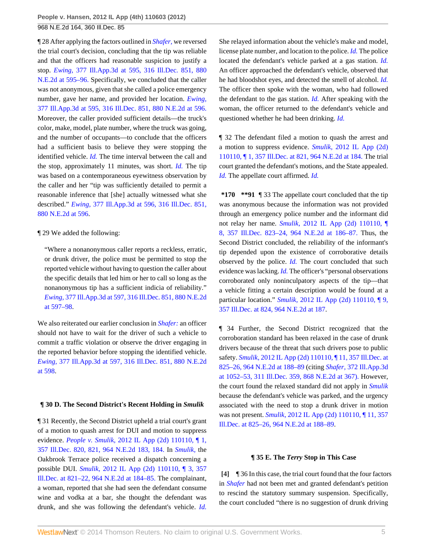¶ 28 After applying the factors outlined in *[Shafer,](http://www.westlaw.com/Link/Document/FullText?findType=Y&serNum=2012089048&originationContext=document&vr=3.0&rs=cblt1.0&transitionType=DocumentItem&contextData=(sc.Search))* we reversed the trial court's decision, concluding that the tip was reliable and that the officers had reasonable suspicion to justify a stop. *Ewing,* [377 Ill.App.3d at 595, 316 Ill.Dec. 851, 880](http://www.westlaw.com/Link/Document/FullText?findType=Y&serNum=2014315373&pubNum=578&fi=co_pp_sp_578_595&originationContext=document&vr=3.0&rs=cblt1.0&transitionType=DocumentItem&contextData=(sc.Search)#co_pp_sp_578_595) [N.E.2d at 595–96.](http://www.westlaw.com/Link/Document/FullText?findType=Y&serNum=2014315373&pubNum=578&fi=co_pp_sp_578_595&originationContext=document&vr=3.0&rs=cblt1.0&transitionType=DocumentItem&contextData=(sc.Search)#co_pp_sp_578_595) Specifically, we concluded that the caller was not anonymous, given that she called a police emergency number, gave her name, and provided her location. *[Ewing,](http://www.westlaw.com/Link/Document/FullText?findType=Y&serNum=2014315373&pubNum=578&fi=co_pp_sp_578_596&originationContext=document&vr=3.0&rs=cblt1.0&transitionType=DocumentItem&contextData=(sc.Search)#co_pp_sp_578_596)* [377 Ill.App.3d at 595, 316 Ill.Dec. 851, 880 N.E.2d at 596.](http://www.westlaw.com/Link/Document/FullText?findType=Y&serNum=2014315373&pubNum=578&fi=co_pp_sp_578_596&originationContext=document&vr=3.0&rs=cblt1.0&transitionType=DocumentItem&contextData=(sc.Search)#co_pp_sp_578_596) Moreover, the caller provided sufficient details—the truck's color, make, model, plate number, where the truck was going, and the number of occupants—to conclude that the officers had a sufficient basis to believe they were stopping the identified vehicle. *[Id.](http://www.westlaw.com/Link/Document/FullText?findType=Y&serNum=2014315373&originationContext=document&vr=3.0&rs=cblt1.0&transitionType=DocumentItem&contextData=(sc.Search))* The time interval between the call and the stop, approximately 11 minutes, was short. *[Id.](http://www.westlaw.com/Link/Document/FullText?findType=Y&serNum=2014315373&originationContext=document&vr=3.0&rs=cblt1.0&transitionType=DocumentItem&contextData=(sc.Search))* The tip was based on a contemporaneous eyewitness observation by the caller and her "tip was sufficiently detailed to permit a reasonable inference that [she] actually witnessed what she described." *Ewing,* [377 Ill.App.3d at 596, 316 Ill.Dec. 851,](http://www.westlaw.com/Link/Document/FullText?findType=Y&serNum=2014315373&pubNum=578&fi=co_pp_sp_578_596&originationContext=document&vr=3.0&rs=cblt1.0&transitionType=DocumentItem&contextData=(sc.Search)#co_pp_sp_578_596) [880 N.E.2d at 596](http://www.westlaw.com/Link/Document/FullText?findType=Y&serNum=2014315373&pubNum=578&fi=co_pp_sp_578_596&originationContext=document&vr=3.0&rs=cblt1.0&transitionType=DocumentItem&contextData=(sc.Search)#co_pp_sp_578_596).

# ¶ 29 We added the following:

"Where a nonanonymous caller reports a reckless, erratic, or drunk driver, the police must be permitted to stop the reported vehicle without having to question the caller about the specific details that led him or her to call so long as the nonanonymous tip has a sufficient indicia of reliability." *Ewing,* [377 Ill.App.3d at 597, 316 Ill.Dec. 851, 880 N.E.2d](http://www.westlaw.com/Link/Document/FullText?findType=Y&serNum=2014315373&pubNum=578&fi=co_pp_sp_578_597&originationContext=document&vr=3.0&rs=cblt1.0&transitionType=DocumentItem&contextData=(sc.Search)#co_pp_sp_578_597) [at 597–98.](http://www.westlaw.com/Link/Document/FullText?findType=Y&serNum=2014315373&pubNum=578&fi=co_pp_sp_578_597&originationContext=document&vr=3.0&rs=cblt1.0&transitionType=DocumentItem&contextData=(sc.Search)#co_pp_sp_578_597)

We also reiterated our earlier conclusion in *[Shafer:](http://www.westlaw.com/Link/Document/FullText?findType=Y&serNum=2012089048&originationContext=document&vr=3.0&rs=cblt1.0&transitionType=DocumentItem&contextData=(sc.Search))* an officer should not have to wait for the driver of such a vehicle to commit a traffic violation or observe the driver engaging in the reported behavior before stopping the identified vehicle. *Ewing,* [377 Ill.App.3d at 597, 316 Ill.Dec. 851, 880 N.E.2d](http://www.westlaw.com/Link/Document/FullText?findType=Y&serNum=2014315373&pubNum=578&fi=co_pp_sp_578_598&originationContext=document&vr=3.0&rs=cblt1.0&transitionType=DocumentItem&contextData=(sc.Search)#co_pp_sp_578_598) [at 598.](http://www.westlaw.com/Link/Document/FullText?findType=Y&serNum=2014315373&pubNum=578&fi=co_pp_sp_578_598&originationContext=document&vr=3.0&rs=cblt1.0&transitionType=DocumentItem&contextData=(sc.Search)#co_pp_sp_578_598)

#### **¶ 30 D. The Second District's Recent Holding in** *Smulik*

¶ 31 Recently, the Second District upheld a trial court's grant of a motion to quash arrest for DUI and motion to suppress evidence. *People v. Smulik,* [2012 IL App \(2d\) 110110, ¶ 1,](http://www.westlaw.com/Link/Document/FullText?findType=Y&serNum=2026827713&pubNum=578&fi=co_pp_sp_578_184&originationContext=document&vr=3.0&rs=cblt1.0&transitionType=DocumentItem&contextData=(sc.Search)#co_pp_sp_578_184) [357 Ill.Dec. 820, 821, 964 N.E.2d 183, 184.](http://www.westlaw.com/Link/Document/FullText?findType=Y&serNum=2026827713&pubNum=578&fi=co_pp_sp_578_184&originationContext=document&vr=3.0&rs=cblt1.0&transitionType=DocumentItem&contextData=(sc.Search)#co_pp_sp_578_184) In *[Smulik,](http://www.westlaw.com/Link/Document/FullText?findType=Y&serNum=2026827713&originationContext=document&vr=3.0&rs=cblt1.0&transitionType=DocumentItem&contextData=(sc.Search))* the Oakbrook Terrace police received a dispatch concerning a possible DUI. *Smulik,* [2012 IL App \(2d\) 110110, ¶ 3, 357](http://www.westlaw.com/Link/Document/FullText?findType=Y&serNum=2026827713&pubNum=578&fi=co_pp_sp_578_184&originationContext=document&vr=3.0&rs=cblt1.0&transitionType=DocumentItem&contextData=(sc.Search)#co_pp_sp_578_184) [Ill.Dec. at 821–22, 964 N.E.2d at 184–85.](http://www.westlaw.com/Link/Document/FullText?findType=Y&serNum=2026827713&pubNum=578&fi=co_pp_sp_578_184&originationContext=document&vr=3.0&rs=cblt1.0&transitionType=DocumentItem&contextData=(sc.Search)#co_pp_sp_578_184) The complainant, a woman, reported that she had seen the defendant consume wine and vodka at a bar, she thought the defendant was drunk, and she was following the defendant's vehicle. *[Id.](http://www.westlaw.com/Link/Document/FullText?findType=Y&serNum=2026827713&originationContext=document&vr=3.0&rs=cblt1.0&transitionType=DocumentItem&contextData=(sc.Search))* She relayed information about the vehicle's make and model, license plate number, and location to the police. *[Id.](http://www.westlaw.com/Link/Document/FullText?findType=Y&serNum=2026827713&originationContext=document&vr=3.0&rs=cblt1.0&transitionType=DocumentItem&contextData=(sc.Search))* The police located the defendant's vehicle parked at a gas station. *[Id.](http://www.westlaw.com/Link/Document/FullText?findType=Y&serNum=2026827713&originationContext=document&vr=3.0&rs=cblt1.0&transitionType=DocumentItem&contextData=(sc.Search))* An officer approached the defendant's vehicle, observed that he had bloodshot eyes, and detected the smell of alcohol. *[Id.](http://www.westlaw.com/Link/Document/FullText?findType=Y&serNum=2026827713&originationContext=document&vr=3.0&rs=cblt1.0&transitionType=DocumentItem&contextData=(sc.Search))* The officer then spoke with the woman, who had followed the defendant to the gas station. *[Id.](http://www.westlaw.com/Link/Document/FullText?findType=Y&serNum=2026827713&originationContext=document&vr=3.0&rs=cblt1.0&transitionType=DocumentItem&contextData=(sc.Search))* After speaking with the woman, the officer returned to the defendant's vehicle and questioned whether he had been drinking. *[Id.](http://www.westlaw.com/Link/Document/FullText?findType=Y&serNum=2026827713&originationContext=document&vr=3.0&rs=cblt1.0&transitionType=DocumentItem&contextData=(sc.Search))*

¶ 32 The defendant filed a motion to quash the arrest and a motion to suppress evidence. *Smulik,* [2012 IL App \(2d\)](http://www.westlaw.com/Link/Document/FullText?findType=Y&serNum=2026827713&pubNum=578&fi=co_pp_sp_578_184&originationContext=document&vr=3.0&rs=cblt1.0&transitionType=DocumentItem&contextData=(sc.Search)#co_pp_sp_578_184) [110110, ¶ 1, 357 Ill.Dec. at 821, 964 N.E.2d at 184.](http://www.westlaw.com/Link/Document/FullText?findType=Y&serNum=2026827713&pubNum=578&fi=co_pp_sp_578_184&originationContext=document&vr=3.0&rs=cblt1.0&transitionType=DocumentItem&contextData=(sc.Search)#co_pp_sp_578_184) The trial court granted the defendant's motions, and the State appealed. *[Id.](http://www.westlaw.com/Link/Document/FullText?findType=Y&serNum=2026827713&originationContext=document&vr=3.0&rs=cblt1.0&transitionType=DocumentItem&contextData=(sc.Search))* The appellate court affirmed. *[Id.](http://www.westlaw.com/Link/Document/FullText?findType=Y&serNum=2026827713&originationContext=document&vr=3.0&rs=cblt1.0&transitionType=DocumentItem&contextData=(sc.Search))*

**\*170 \*\*91** ¶ 33 The appellate court concluded that the tip was anonymous because the information was not provided through an emergency police number and the informant did not relay her name. *Smulik,* [2012 IL App \(2d\) 110110, ¶](http://www.westlaw.com/Link/Document/FullText?findType=Y&serNum=2026827713&pubNum=578&fi=co_pp_sp_578_186&originationContext=document&vr=3.0&rs=cblt1.0&transitionType=DocumentItem&contextData=(sc.Search)#co_pp_sp_578_186) [8, 357 Ill.Dec. 823–24, 964 N.E.2d at 186–87.](http://www.westlaw.com/Link/Document/FullText?findType=Y&serNum=2026827713&pubNum=578&fi=co_pp_sp_578_186&originationContext=document&vr=3.0&rs=cblt1.0&transitionType=DocumentItem&contextData=(sc.Search)#co_pp_sp_578_186) Thus, the Second District concluded, the reliability of the informant's tip depended upon the existence of corroborative details observed by the police. *[Id.](http://www.westlaw.com/Link/Document/FullText?findType=Y&serNum=2026827713&originationContext=document&vr=3.0&rs=cblt1.0&transitionType=DocumentItem&contextData=(sc.Search))* The court concluded that such evidence was lacking. *[Id.](http://www.westlaw.com/Link/Document/FullText?findType=Y&serNum=2026827713&originationContext=document&vr=3.0&rs=cblt1.0&transitionType=DocumentItem&contextData=(sc.Search))* The officer's "personal observations corroborated only noninculpatory aspects of the tip—that a vehicle fitting a certain description would be found at a particular location." *Smulik,* [2012 IL App \(2d\) 110110, ¶ 9,](http://www.westlaw.com/Link/Document/FullText?findType=Y&serNum=2026827713&pubNum=578&fi=co_pp_sp_578_187&originationContext=document&vr=3.0&rs=cblt1.0&transitionType=DocumentItem&contextData=(sc.Search)#co_pp_sp_578_187) [357 Ill.Dec. at 824, 964 N.E.2d at 187.](http://www.westlaw.com/Link/Document/FullText?findType=Y&serNum=2026827713&pubNum=578&fi=co_pp_sp_578_187&originationContext=document&vr=3.0&rs=cblt1.0&transitionType=DocumentItem&contextData=(sc.Search)#co_pp_sp_578_187)

¶ 34 Further, the Second District recognized that the corroboration standard has been relaxed in the case of drunk drivers because of the threat that such drivers pose to public safety. *Smulik,* [2012 IL App \(2d\) 110110, ¶ 11, 357 Ill.Dec. at](http://www.westlaw.com/Link/Document/FullText?findType=Y&serNum=2026827713&pubNum=578&fi=co_pp_sp_578_188&originationContext=document&vr=3.0&rs=cblt1.0&transitionType=DocumentItem&contextData=(sc.Search)#co_pp_sp_578_188) [825–26, 964 N.E.2d at 188–89](http://www.westlaw.com/Link/Document/FullText?findType=Y&serNum=2026827713&pubNum=578&fi=co_pp_sp_578_188&originationContext=document&vr=3.0&rs=cblt1.0&transitionType=DocumentItem&contextData=(sc.Search)#co_pp_sp_578_188) (citing *Shafer,* [372 Ill.App.3d](http://www.westlaw.com/Link/Document/FullText?findType=Y&serNum=2012089048&pubNum=578&fi=co_pp_sp_578_367&originationContext=document&vr=3.0&rs=cblt1.0&transitionType=DocumentItem&contextData=(sc.Search)#co_pp_sp_578_367) [at 1052–53, 311 Ill.Dec. 359, 868 N.E.2d at 367\).](http://www.westlaw.com/Link/Document/FullText?findType=Y&serNum=2012089048&pubNum=578&fi=co_pp_sp_578_367&originationContext=document&vr=3.0&rs=cblt1.0&transitionType=DocumentItem&contextData=(sc.Search)#co_pp_sp_578_367) However, the court found the relaxed standard did not apply in *[Smulik](http://www.westlaw.com/Link/Document/FullText?findType=Y&serNum=2026827713&originationContext=document&vr=3.0&rs=cblt1.0&transitionType=DocumentItem&contextData=(sc.Search))* because the defendant's vehicle was parked, and the urgency associated with the need to stop a drunk driver in motion was not present. *Smulik,* [2012 IL App \(2d\) 110110, ¶ 11, 357](http://www.westlaw.com/Link/Document/FullText?findType=Y&serNum=2026827713&pubNum=578&fi=co_pp_sp_578_188&originationContext=document&vr=3.0&rs=cblt1.0&transitionType=DocumentItem&contextData=(sc.Search)#co_pp_sp_578_188) [Ill.Dec. at 825–26, 964 N.E.2d at 188–89](http://www.westlaw.com/Link/Document/FullText?findType=Y&serNum=2026827713&pubNum=578&fi=co_pp_sp_578_188&originationContext=document&vr=3.0&rs=cblt1.0&transitionType=DocumentItem&contextData=(sc.Search)#co_pp_sp_578_188).

#### **¶ 35 E. The** *Terry* **Stop in This Case**

<span id="page-4-0"></span>**[\[4\]](#page-0-0)** ¶ 36 In this case, the trial court found that the four factors in *[Shafer](http://www.westlaw.com/Link/Document/FullText?findType=Y&serNum=2012089048&originationContext=document&vr=3.0&rs=cblt1.0&transitionType=DocumentItem&contextData=(sc.Search))* had not been met and granted defendant's petition to rescind the statutory summary suspension. Specifically, the court concluded "there is no suggestion of drunk driving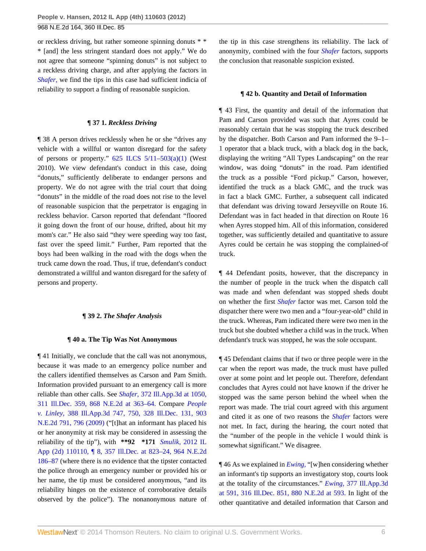or reckless driving, but rather someone spinning donuts \* \* \* [and] the less stringent standard does not apply." We do not agree that someone "spinning donuts" is not subject to a reckless driving charge, and after applying the factors in *[Shafer,](http://www.westlaw.com/Link/Document/FullText?findType=Y&serNum=2012089048&originationContext=document&vr=3.0&rs=cblt1.0&transitionType=DocumentItem&contextData=(sc.Search))* we find the tips in this case had sufficient indicia of reliability to support a finding of reasonable suspicion.

#### **¶ 37 1.** *Reckless Driving*

¶ 38 A person drives recklessly when he or she "drives any vehicle with a willful or wanton disregard for the safety of persons or property."  $625$  ILCS  $5/11-503(a)(1)$  (West 2010). We view defendant's conduct in this case, doing "donuts," sufficiently deliberate to endanger persons and property. We do not agree with the trial court that doing "donuts" in the middle of the road does not rise to the level of reasonable suspicion that the perpetrator is engaging in reckless behavior. Carson reported that defendant "floored it going down the front of our house, drifted, about hit my mom's car." He also said "they were speeding way too fast, fast over the speed limit." Further, Pam reported that the boys had been walking in the road with the dogs when the truck came down the road. Thus, if true, defendant's conduct demonstrated a willful and wanton disregard for the safety of persons and property.

#### **¶ 39 2.** *The Shafer Analysis*

#### **¶ 40 a. The Tip Was Not Anonymous**

¶ 41 Initially, we conclude that the call was not anonymous, because it was made to an emergency police number and the callers identified themselves as Carson and Pam Smith. Information provided pursuant to an emergency call is more reliable than other calls. See *Shafer,* [372 Ill.App.3d at 1050,](http://www.westlaw.com/Link/Document/FullText?findType=Y&serNum=2012089048&pubNum=578&fi=co_pp_sp_578_363&originationContext=document&vr=3.0&rs=cblt1.0&transitionType=DocumentItem&contextData=(sc.Search)#co_pp_sp_578_363) [311 Ill.Dec. 359, 868 N.E.2d at 363–64.](http://www.westlaw.com/Link/Document/FullText?findType=Y&serNum=2012089048&pubNum=578&fi=co_pp_sp_578_363&originationContext=document&vr=3.0&rs=cblt1.0&transitionType=DocumentItem&contextData=(sc.Search)#co_pp_sp_578_363) Compare *[People](http://www.westlaw.com/Link/Document/FullText?findType=Y&serNum=2018208649&pubNum=578&fi=co_pp_sp_578_796&originationContext=document&vr=3.0&rs=cblt1.0&transitionType=DocumentItem&contextData=(sc.Search)#co_pp_sp_578_796) v. Linley,* [388 Ill.App.3d 747, 750, 328 Ill.Dec. 131, 903](http://www.westlaw.com/Link/Document/FullText?findType=Y&serNum=2018208649&pubNum=578&fi=co_pp_sp_578_796&originationContext=document&vr=3.0&rs=cblt1.0&transitionType=DocumentItem&contextData=(sc.Search)#co_pp_sp_578_796) [N.E.2d 791, 796 \(2009\)](http://www.westlaw.com/Link/Document/FullText?findType=Y&serNum=2018208649&pubNum=578&fi=co_pp_sp_578_796&originationContext=document&vr=3.0&rs=cblt1.0&transitionType=DocumentItem&contextData=(sc.Search)#co_pp_sp_578_796) ("[t]hat an informant has placed his or her anonymity at risk may be considered in assessing the reliability of the tip"), with **\*\*92 \*171** *Smulik,* [2012 IL](http://www.westlaw.com/Link/Document/FullText?findType=Y&serNum=2026827713&pubNum=578&fi=co_pp_sp_578_187&originationContext=document&vr=3.0&rs=cblt1.0&transitionType=DocumentItem&contextData=(sc.Search)#co_pp_sp_578_187) [App \(2d\) 110110, ¶ 8, 357 Ill.Dec. at 823–24, 964 N.E.2d](http://www.westlaw.com/Link/Document/FullText?findType=Y&serNum=2026827713&pubNum=578&fi=co_pp_sp_578_187&originationContext=document&vr=3.0&rs=cblt1.0&transitionType=DocumentItem&contextData=(sc.Search)#co_pp_sp_578_187) [186–87](http://www.westlaw.com/Link/Document/FullText?findType=Y&serNum=2026827713&pubNum=578&fi=co_pp_sp_578_187&originationContext=document&vr=3.0&rs=cblt1.0&transitionType=DocumentItem&contextData=(sc.Search)#co_pp_sp_578_187) (where there is no evidence that the tipster contacted the police through an emergency number or provided his or her name, the tip must be considered anonymous, "and its reliability hinges on the existence of corroborative details observed by the police"). The nonanonymous nature of the tip in this case strengthens its reliability. The lack of anonymity, combined with the four *[Shafer](http://www.westlaw.com/Link/Document/FullText?findType=Y&serNum=2012089048&originationContext=document&vr=3.0&rs=cblt1.0&transitionType=DocumentItem&contextData=(sc.Search))* factors, supports the conclusion that reasonable suspicion existed.

#### **¶ 42 b. Quantity and Detail of Information**

¶ 43 First, the quantity and detail of the information that Pam and Carson provided was such that Ayres could be reasonably certain that he was stopping the truck described by the dispatcher. Both Carson and Pam informed the 9–1– 1 operator that a black truck, with a black dog in the back, displaying the writing "All Types Landscaping" on the rear window, was doing "donuts" in the road. Pam identified the truck as a possible "Ford pickup." Carson, however, identified the truck as a black GMC, and the truck was in fact a black GMC. Further, a subsequent call indicated that defendant was driving toward Jerseyville on Route 16. Defendant was in fact headed in that direction on Route 16 when Ayres stopped him. All of this information, considered together, was sufficiently detailed and quantitative to assure Ayres could be certain he was stopping the complained-of truck.

¶ 44 Defendant posits, however, that the discrepancy in the number of people in the truck when the dispatch call was made and when defendant was stopped sheds doubt on whether the first *[Shafer](http://www.westlaw.com/Link/Document/FullText?findType=Y&serNum=2012089048&originationContext=document&vr=3.0&rs=cblt1.0&transitionType=DocumentItem&contextData=(sc.Search))* factor was met. Carson told the dispatcher there were two men and a "four-year-old" child in the truck. Whereas, Pam indicated there were two men in the truck but she doubted whether a child was in the truck. When defendant's truck was stopped, he was the sole occupant.

¶ 45 Defendant claims that if two or three people were in the car when the report was made, the truck must have pulled over at some point and let people out. Therefore, defendant concludes that Ayres could not have known if the driver he stopped was the same person behind the wheel when the report was made. The trial court agreed with this argument and cited it as one of two reasons the *[Shafer](http://www.westlaw.com/Link/Document/FullText?findType=Y&serNum=2012089048&originationContext=document&vr=3.0&rs=cblt1.0&transitionType=DocumentItem&contextData=(sc.Search))* factors were not met. In fact, during the hearing, the court noted that the "number of the people in the vehicle I would think is somewhat significant." We disagree.

¶ 46 As we explained in *[Ewing,](http://www.westlaw.com/Link/Document/FullText?findType=Y&serNum=2014315373&originationContext=document&vr=3.0&rs=cblt1.0&transitionType=DocumentItem&contextData=(sc.Search))* "[w]hen considering whether an informant's tip supports an investigatory stop, courts look at the totality of the circumstances." *Ewing,* [377 Ill.App.3d](http://www.westlaw.com/Link/Document/FullText?findType=Y&serNum=2014315373&pubNum=578&fi=co_pp_sp_578_593&originationContext=document&vr=3.0&rs=cblt1.0&transitionType=DocumentItem&contextData=(sc.Search)#co_pp_sp_578_593) [at 591, 316 Ill.Dec. 851, 880 N.E.2d at 593.](http://www.westlaw.com/Link/Document/FullText?findType=Y&serNum=2014315373&pubNum=578&fi=co_pp_sp_578_593&originationContext=document&vr=3.0&rs=cblt1.0&transitionType=DocumentItem&contextData=(sc.Search)#co_pp_sp_578_593) In light of the other quantitative and detailed information that Carson and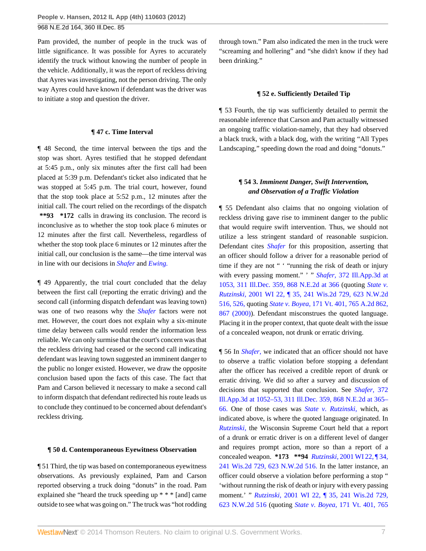Pam provided, the number of people in the truck was of little significance. It was possible for Ayres to accurately identify the truck without knowing the number of people in the vehicle. Additionally, it was the report of reckless driving that Ayres was investigating, not the person driving. The only way Ayres could have known if defendant was the driver was to initiate a stop and question the driver.

#### **¶ 47 c. Time Interval**

¶ 48 Second, the time interval between the tips and the stop was short. Ayres testified that he stopped defendant at 5:45 p.m., only six minutes after the first call had been placed at 5:39 p.m. Defendant's ticket also indicated that he was stopped at 5:45 p.m. The trial court, however, found that the stop took place at 5:52 p.m., 12 minutes after the initial call. The court relied on the recordings of the dispatch **\*\*93 \*172** calls in drawing its conclusion. The record is inconclusive as to whether the stop took place 6 minutes or 12 minutes after the first call. Nevertheless, regardless of whether the stop took place 6 minutes or 12 minutes after the initial call, our conclusion is the same—the time interval was in line with our decisions in *[Shafer](http://www.westlaw.com/Link/Document/FullText?findType=Y&serNum=2012089048&originationContext=document&vr=3.0&rs=cblt1.0&transitionType=DocumentItem&contextData=(sc.Search))* and *[Ewing.](http://www.westlaw.com/Link/Document/FullText?findType=Y&serNum=2014315373&originationContext=document&vr=3.0&rs=cblt1.0&transitionType=DocumentItem&contextData=(sc.Search))*

¶ 49 Apparently, the trial court concluded that the delay between the first call (reporting the erratic driving) and the second call (informing dispatch defendant was leaving town) was one of two reasons why the *[Shafer](http://www.westlaw.com/Link/Document/FullText?findType=Y&serNum=2012089048&originationContext=document&vr=3.0&rs=cblt1.0&transitionType=DocumentItem&contextData=(sc.Search))* factors were not met. However, the court does not explain why a six-minute time delay between calls would render the information less reliable. We can only surmise that the court's concern was that the reckless driving had ceased or the second call indicating defendant was leaving town suggested an imminent danger to the public no longer existed. However, we draw the opposite conclusion based upon the facts of this case. The fact that Pam and Carson believed it necessary to make a second call to inform dispatch that defendant redirected his route leads us to conclude they continued to be concerned about defendant's reckless driving.

#### **¶ 50 d. Contemporaneous Eyewitness Observation**

¶ 51 Third, the tip was based on contemporaneous eyewitness observations. As previously explained, Pam and Carson reported observing a truck doing "donuts" in the road. Pam explained she "heard the truck speeding up \* \* \* [and] came outside to see what was going on." The truck was "hot rodding through town." Pam also indicated the men in the truck were "screaming and hollering" and "she didn't know if they had been drinking."

#### **¶ 52 e. Sufficiently Detailed Tip**

¶ 53 Fourth, the tip was sufficiently detailed to permit the reasonable inference that Carson and Pam actually witnessed an ongoing traffic violation-namely, that they had observed a black truck, with a black dog, with the writing "All Types Landscaping," speeding down the road and doing "donuts."

# **¶ 54 3.** *Imminent Danger, Swift Intervention, and Observation of a Traffic Violation*

¶ 55 Defendant also claims that no ongoing violation of reckless driving gave rise to imminent danger to the public that would require swift intervention. Thus, we should not utilize a less stringent standard of reasonable suspicion. Defendant cites *[Shafer](http://www.westlaw.com/Link/Document/FullText?findType=Y&serNum=2012089048&originationContext=document&vr=3.0&rs=cblt1.0&transitionType=DocumentItem&contextData=(sc.Search))* for this proposition, asserting that an officer should follow a driver for a reasonable period of time if they are not " " "running the risk of death or injury with every passing moment." ' " *Shafer,* [372 Ill.App.3d at](http://www.westlaw.com/Link/Document/FullText?findType=Y&serNum=2012089048&pubNum=578&fi=co_pp_sp_578_366&originationContext=document&vr=3.0&rs=cblt1.0&transitionType=DocumentItem&contextData=(sc.Search)#co_pp_sp_578_366) [1053, 311 Ill.Dec. 359, 868 N.E.2d at 366](http://www.westlaw.com/Link/Document/FullText?findType=Y&serNum=2012089048&pubNum=578&fi=co_pp_sp_578_366&originationContext=document&vr=3.0&rs=cblt1.0&transitionType=DocumentItem&contextData=(sc.Search)#co_pp_sp_578_366) (quoting *[State v.](http://www.westlaw.com/Link/Document/FullText?findType=Y&serNum=2001240851&pubNum=595&fi=co_pp_sp_595_526&originationContext=document&vr=3.0&rs=cblt1.0&transitionType=DocumentItem&contextData=(sc.Search)#co_pp_sp_595_526) Rutzinski,* [2001 WI 22, ¶ 35, 241 Wis.2d 729, 623 N.W.2d](http://www.westlaw.com/Link/Document/FullText?findType=Y&serNum=2001240851&pubNum=595&fi=co_pp_sp_595_526&originationContext=document&vr=3.0&rs=cblt1.0&transitionType=DocumentItem&contextData=(sc.Search)#co_pp_sp_595_526) [516, 526,](http://www.westlaw.com/Link/Document/FullText?findType=Y&serNum=2001240851&pubNum=595&fi=co_pp_sp_595_526&originationContext=document&vr=3.0&rs=cblt1.0&transitionType=DocumentItem&contextData=(sc.Search)#co_pp_sp_595_526) quoting *State v. Boyea,* [171 Vt. 401, 765 A.2d 862,](http://www.westlaw.com/Link/Document/FullText?findType=Y&serNum=2000628369&pubNum=162&fi=co_pp_sp_162_867&originationContext=document&vr=3.0&rs=cblt1.0&transitionType=DocumentItem&contextData=(sc.Search)#co_pp_sp_162_867) [867 \(2000\)\)](http://www.westlaw.com/Link/Document/FullText?findType=Y&serNum=2000628369&pubNum=162&fi=co_pp_sp_162_867&originationContext=document&vr=3.0&rs=cblt1.0&transitionType=DocumentItem&contextData=(sc.Search)#co_pp_sp_162_867). Defendant misconstrues the quoted language. Placing it in the proper context, that quote dealt with the issue of a concealed weapon, not drunk or erratic driving.

¶ 56 In *[Shafer,](http://www.westlaw.com/Link/Document/FullText?findType=Y&serNum=2012089048&originationContext=document&vr=3.0&rs=cblt1.0&transitionType=DocumentItem&contextData=(sc.Search))* we indicated that an officer should not have to observe a traffic violation before stopping a defendant after the officer has received a credible report of drunk or erratic driving. We did so after a survey and discussion of decisions that supported that conclusion. See *[Shafer,](http://www.westlaw.com/Link/Document/FullText?findType=Y&serNum=2012089048&pubNum=578&fi=co_pp_sp_578_365&originationContext=document&vr=3.0&rs=cblt1.0&transitionType=DocumentItem&contextData=(sc.Search)#co_pp_sp_578_365)* 372 [Ill.App.3d at 1052–53, 311 Ill.Dec. 359, 868 N.E.2d at 365–](http://www.westlaw.com/Link/Document/FullText?findType=Y&serNum=2012089048&pubNum=578&fi=co_pp_sp_578_365&originationContext=document&vr=3.0&rs=cblt1.0&transitionType=DocumentItem&contextData=(sc.Search)#co_pp_sp_578_365) [66.](http://www.westlaw.com/Link/Document/FullText?findType=Y&serNum=2012089048&pubNum=578&fi=co_pp_sp_578_365&originationContext=document&vr=3.0&rs=cblt1.0&transitionType=DocumentItem&contextData=(sc.Search)#co_pp_sp_578_365) One of those cases was *[State v. Rutzinski,](http://www.westlaw.com/Link/Document/FullText?findType=Y&serNum=2001240851&originationContext=document&vr=3.0&rs=cblt1.0&transitionType=DocumentItem&contextData=(sc.Search))* which, as indicated above, is where the quoted language originated. In *[Rutzinski,](http://www.westlaw.com/Link/Document/FullText?findType=Y&serNum=2001240851&originationContext=document&vr=3.0&rs=cblt1.0&transitionType=DocumentItem&contextData=(sc.Search))* the Wisconsin Supreme Court held that a report of a drunk or erratic driver is on a different level of danger and requires prompt action, more so than a report of a concealed weapon. **\*173 \*\*94** *Rutzinski,* [2001 WI 22, ¶ 34,](http://www.westlaw.com/Link/Document/FullText?findType=Y&serNum=2001240851&pubNum=595&originationContext=document&vr=3.0&rs=cblt1.0&transitionType=DocumentItem&contextData=(sc.Search)) [241 Wis.2d 729, 623 N.W.2d 516.](http://www.westlaw.com/Link/Document/FullText?findType=Y&serNum=2001240851&pubNum=595&originationContext=document&vr=3.0&rs=cblt1.0&transitionType=DocumentItem&contextData=(sc.Search)) In the latter instance, an officer could observe a violation before performing a stop " 'without running the risk of death or injury with every passing moment.' " *Rutzinski,* [2001 WI 22, ¶ 35, 241 Wis.2d 729,](http://www.westlaw.com/Link/Document/FullText?findType=Y&serNum=2001240851&pubNum=595&originationContext=document&vr=3.0&rs=cblt1.0&transitionType=DocumentItem&contextData=(sc.Search)) [623 N.W.2d 516](http://www.westlaw.com/Link/Document/FullText?findType=Y&serNum=2001240851&pubNum=595&originationContext=document&vr=3.0&rs=cblt1.0&transitionType=DocumentItem&contextData=(sc.Search)) (quoting *State v. Boyea,* [171 Vt. 401, 765](http://www.westlaw.com/Link/Document/FullText?findType=Y&serNum=2000628369&pubNum=162&fi=co_pp_sp_162_867&originationContext=document&vr=3.0&rs=cblt1.0&transitionType=DocumentItem&contextData=(sc.Search)#co_pp_sp_162_867)